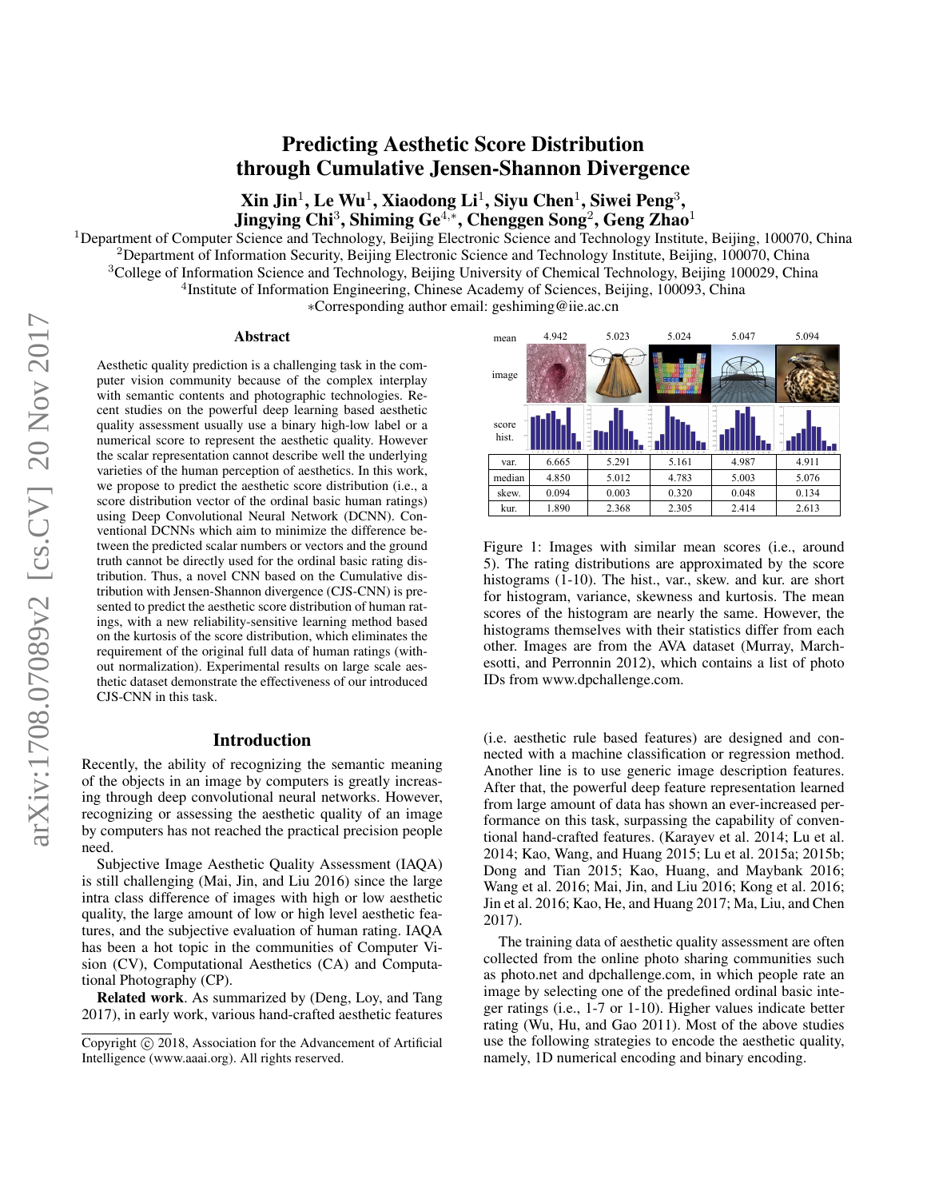# Predicting Aesthetic Score Distribution through Cumulative Jensen-Shannon Divergence

 $\mathbf{X}$ in Jin $^{1}$ , Le Wu $^{1}$ , Xiaodong Li $^{1}$ , Siyu Chen $^{1}$ , Siwei Peng $^{3}$ , Jingying Chi<sup>3</sup>, Shiming Ge<sup>4,</sup>\*, Chenggen Song<sup>2</sup>, Geng Zhao<sup>1</sup>

<sup>1</sup>Department of Computer Science and Technology, Beijing Electronic Science and Technology Institute, Beijing, 100070, China

<sup>2</sup>Department of Information Security, Beijing Electronic Science and Technology Institute, Beijing, 100070, China

<sup>3</sup>College of Information Science and Technology, Beijing University of Chemical Technology, Beijing 100029, China <sup>4</sup>Institute of Information Engineering, Chinese Academy of Sciences, Beijing, 100093, China

∗Corresponding author email: geshiming@iie.ac.cn

#### Abstract

Aesthetic quality prediction is a challenging task in the computer vision community because of the complex interplay with semantic contents and photographic technologies. Recent studies on the powerful deep learning based aesthetic quality assessment usually use a binary high-low label or a numerical score to represent the aesthetic quality. However the scalar representation cannot describe well the underlying varieties of the human perception of aesthetics. In this work, we propose to predict the aesthetic score distribution (i.e., a score distribution vector of the ordinal basic human ratings) using Deep Convolutional Neural Network (DCNN). Conventional DCNNs which aim to minimize the difference between the predicted scalar numbers or vectors and the ground truth cannot be directly used for the ordinal basic rating distribution. Thus, a novel CNN based on the Cumulative distribution with Jensen-Shannon divergence (CJS-CNN) is presented to predict the aesthetic score distribution of human ratings, with a new reliability-sensitive learning method based on the kurtosis of the score distribution, which eliminates the requirement of the original full data of human ratings (without normalization). Experimental results on large scale aesthetic dataset demonstrate the effectiveness of our introduced CJS-CNN in this task.

### Introduction

Recently, the ability of recognizing the semantic meaning of the objects in an image by computers is greatly increasing through deep convolutional neural networks. However, recognizing or assessing the aesthetic quality of an image by computers has not reached the practical precision people need.

Subjective Image Aesthetic Quality Assessment (IAQA) is still challenging (Mai, Jin, and Liu 2016) since the large intra class difference of images with high or low aesthetic quality, the large amount of low or high level aesthetic features, and the subjective evaluation of human rating. IAQA has been a hot topic in the communities of Computer Vision (CV), Computational Aesthetics (CA) and Computational Photography (CP).

Related work. As summarized by (Deng, Loy, and Tang 2017), in early work, various hand-crafted aesthetic features



Figure 1: Images with similar mean scores (i.e., around 5). The rating distributions are approximated by the score histograms (1-10). The hist., var., skew. and kur. are short for histogram, variance, skewness and kurtosis. The mean scores of the histogram are nearly the same. However, the histograms themselves with their statistics differ from each other. Images are from the AVA dataset (Murray, Marchesotti, and Perronnin 2012), which contains a list of photo IDs from www.dpchallenge.com.

(i.e. aesthetic rule based features) are designed and connected with a machine classification or regression method. Another line is to use generic image description features. After that, the powerful deep feature representation learned from large amount of data has shown an ever-increased performance on this task, surpassing the capability of conventional hand-crafted features. (Karayev et al. 2014; Lu et al. 2014; Kao, Wang, and Huang 2015; Lu et al. 2015a; 2015b; Dong and Tian 2015; Kao, Huang, and Maybank 2016; Wang et al. 2016; Mai, Jin, and Liu 2016; Kong et al. 2016; Jin et al. 2016; Kao, He, and Huang 2017; Ma, Liu, and Chen 2017).

The training data of aesthetic quality assessment are often collected from the online photo sharing communities such as photo.net and dpchallenge.com, in which people rate an image by selecting one of the predefined ordinal basic integer ratings (i.e., 1-7 or 1-10). Higher values indicate better rating (Wu, Hu, and Gao 2011). Most of the above studies use the following strategies to encode the aesthetic quality, namely, 1D numerical encoding and binary encoding.

Copyright (c) 2018, Association for the Advancement of Artificial Intelligence (www.aaai.org). All rights reserved.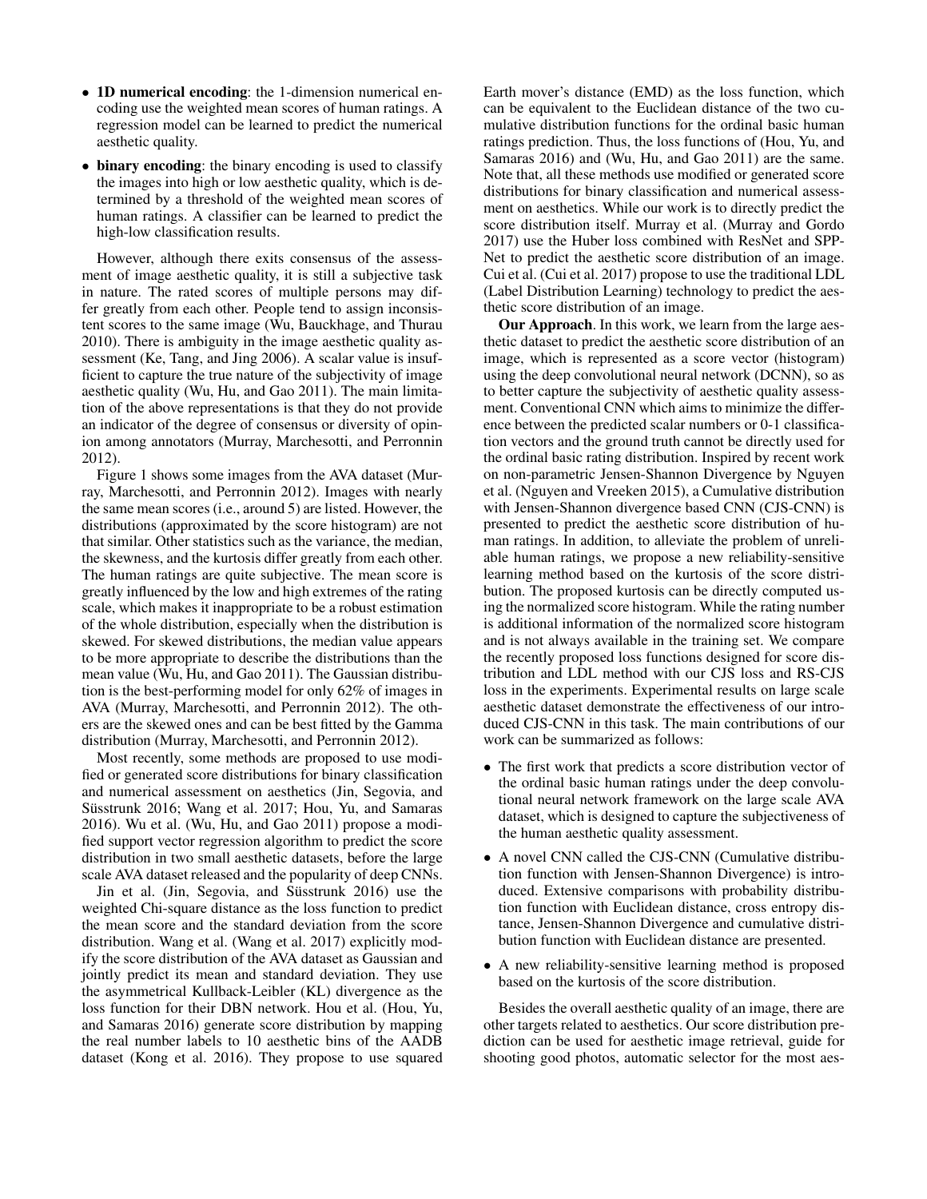- 1D numerical encoding: the 1-dimension numerical encoding use the weighted mean scores of human ratings. A regression model can be learned to predict the numerical aesthetic quality.
- binary encoding: the binary encoding is used to classify the images into high or low aesthetic quality, which is determined by a threshold of the weighted mean scores of human ratings. A classifier can be learned to predict the high-low classification results.

However, although there exits consensus of the assessment of image aesthetic quality, it is still a subjective task in nature. The rated scores of multiple persons may differ greatly from each other. People tend to assign inconsistent scores to the same image (Wu, Bauckhage, and Thurau 2010). There is ambiguity in the image aesthetic quality assessment (Ke, Tang, and Jing 2006). A scalar value is insufficient to capture the true nature of the subjectivity of image aesthetic quality (Wu, Hu, and Gao 2011). The main limitation of the above representations is that they do not provide an indicator of the degree of consensus or diversity of opinion among annotators (Murray, Marchesotti, and Perronnin 2012).

Figure 1 shows some images from the AVA dataset (Murray, Marchesotti, and Perronnin 2012). Images with nearly the same mean scores (i.e., around 5) are listed. However, the distributions (approximated by the score histogram) are not that similar. Other statistics such as the variance, the median, the skewness, and the kurtosis differ greatly from each other. The human ratings are quite subjective. The mean score is greatly influenced by the low and high extremes of the rating scale, which makes it inappropriate to be a robust estimation of the whole distribution, especially when the distribution is skewed. For skewed distributions, the median value appears to be more appropriate to describe the distributions than the mean value (Wu, Hu, and Gao 2011). The Gaussian distribution is the best-performing model for only 62% of images in AVA (Murray, Marchesotti, and Perronnin 2012). The others are the skewed ones and can be best fitted by the Gamma distribution (Murray, Marchesotti, and Perronnin 2012).

Most recently, some methods are proposed to use modified or generated score distributions for binary classification and numerical assessment on aesthetics (Jin, Segovia, and Süsstrunk 2016; Wang et al. 2017; Hou, Yu, and Samaras 2016). Wu et al. (Wu, Hu, and Gao 2011) propose a modified support vector regression algorithm to predict the score distribution in two small aesthetic datasets, before the large scale AVA dataset released and the popularity of deep CNNs.

Jin et al. (Jin, Segovia, and Süsstrunk 2016) use the weighted Chi-square distance as the loss function to predict the mean score and the standard deviation from the score distribution. Wang et al. (Wang et al. 2017) explicitly modify the score distribution of the AVA dataset as Gaussian and jointly predict its mean and standard deviation. They use the asymmetrical Kullback-Leibler (KL) divergence as the loss function for their DBN network. Hou et al. (Hou, Yu, and Samaras 2016) generate score distribution by mapping the real number labels to 10 aesthetic bins of the AADB dataset (Kong et al. 2016). They propose to use squared

Earth mover's distance (EMD) as the loss function, which can be equivalent to the Euclidean distance of the two cumulative distribution functions for the ordinal basic human ratings prediction. Thus, the loss functions of (Hou, Yu, and Samaras 2016) and (Wu, Hu, and Gao 2011) are the same. Note that, all these methods use modified or generated score distributions for binary classification and numerical assessment on aesthetics. While our work is to directly predict the score distribution itself. Murray et al. (Murray and Gordo 2017) use the Huber loss combined with ResNet and SPP-Net to predict the aesthetic score distribution of an image. Cui et al. (Cui et al. 2017) propose to use the traditional LDL (Label Distribution Learning) technology to predict the aesthetic score distribution of an image.

Our Approach. In this work, we learn from the large aesthetic dataset to predict the aesthetic score distribution of an image, which is represented as a score vector (histogram) using the deep convolutional neural network (DCNN), so as to better capture the subjectivity of aesthetic quality assessment. Conventional CNN which aims to minimize the difference between the predicted scalar numbers or 0-1 classification vectors and the ground truth cannot be directly used for the ordinal basic rating distribution. Inspired by recent work on non-parametric Jensen-Shannon Divergence by Nguyen et al. (Nguyen and Vreeken 2015), a Cumulative distribution with Jensen-Shannon divergence based CNN (CJS-CNN) is presented to predict the aesthetic score distribution of human ratings. In addition, to alleviate the problem of unreliable human ratings, we propose a new reliability-sensitive learning method based on the kurtosis of the score distribution. The proposed kurtosis can be directly computed using the normalized score histogram. While the rating number is additional information of the normalized score histogram and is not always available in the training set. We compare the recently proposed loss functions designed for score distribution and LDL method with our CJS loss and RS-CJS loss in the experiments. Experimental results on large scale aesthetic dataset demonstrate the effectiveness of our introduced CJS-CNN in this task. The main contributions of our work can be summarized as follows:

- The first work that predicts a score distribution vector of the ordinal basic human ratings under the deep convolutional neural network framework on the large scale AVA dataset, which is designed to capture the subjectiveness of the human aesthetic quality assessment.
- A novel CNN called the CJS-CNN (Cumulative distribution function with Jensen-Shannon Divergence) is introduced. Extensive comparisons with probability distribution function with Euclidean distance, cross entropy distance, Jensen-Shannon Divergence and cumulative distribution function with Euclidean distance are presented.
- A new reliability-sensitive learning method is proposed based on the kurtosis of the score distribution.

Besides the overall aesthetic quality of an image, there are other targets related to aesthetics. Our score distribution prediction can be used for aesthetic image retrieval, guide for shooting good photos, automatic selector for the most aes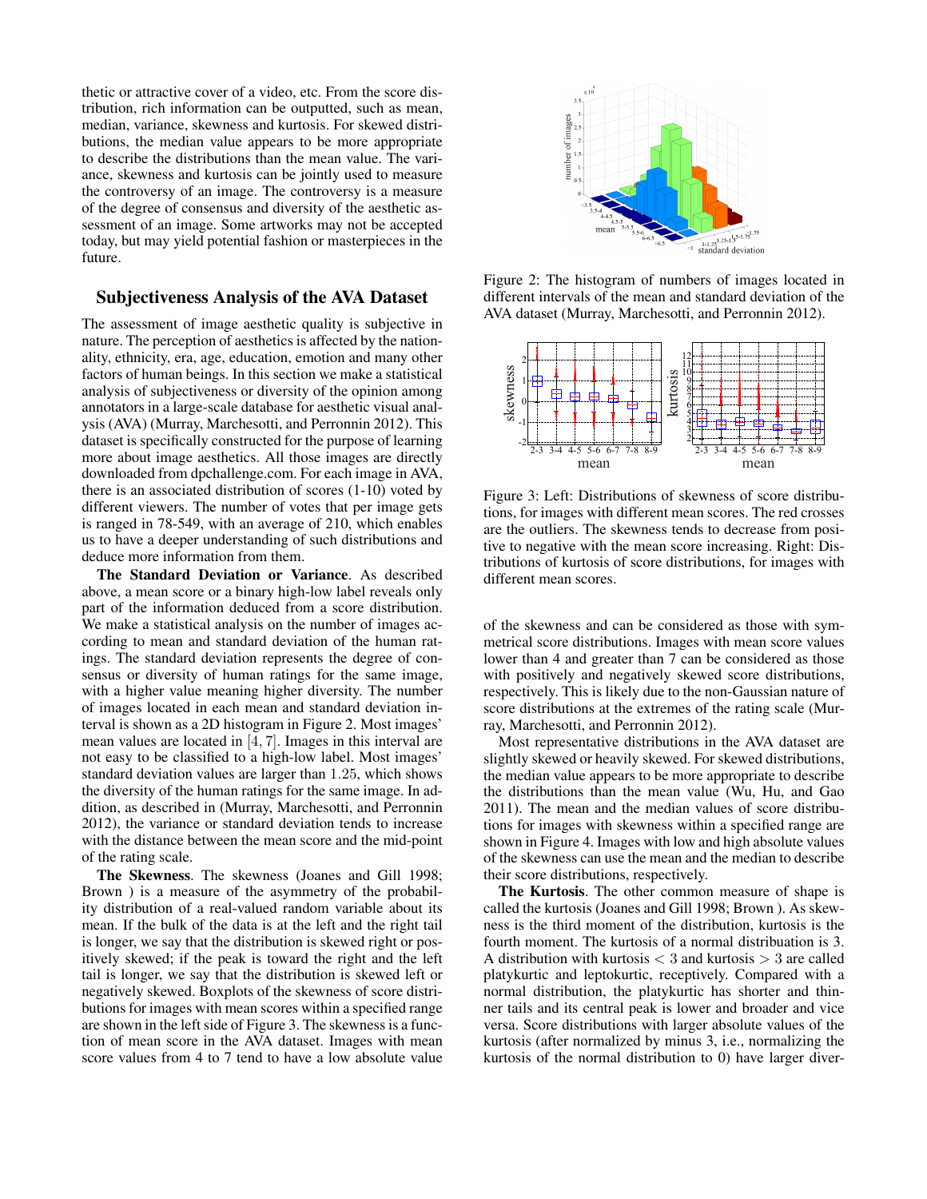thetic or attractive cover of a video, etc. From the score distribution, rich information can be outputted, such as mean, median, variance, skewness and kurtosis. For skewed distributions, the median value appears to be more appropriate to describe the distributions than the mean value. The variance, skewness and kurtosis can be jointly used to measure the controversy of an image. The controversy is a measure of the degree of consensus and diversity of the aesthetic assessment of an image. Some artworks may not be accepted today, but may yield potential fashion or masterpieces in the future.

### Subjectiveness Analysis of the AVA Dataset

The assessment of image aesthetic quality is subjective in nature. The perception of aesthetics is affected by the nationality, ethnicity, era, age, education, emotion and many other factors of human beings. In this section we make a statistical analysis of subjectiveness or diversity of the opinion among annotators in a large-scale database for aesthetic visual analysis (AVA) (Murray, Marchesotti, and Perronnin 2012). This dataset is specifically constructed for the purpose of learning more about image aesthetics. All those images are directly downloaded from dpchallenge.com. For each image in AVA, there is an associated distribution of scores (1-10) voted by different viewers. The number of votes that per image gets is ranged in 78-549, with an average of 210, which enables us to have a deeper understanding of such distributions and deduce more information from them.

The Standard Deviation or Variance. As described above, a mean score or a binary high-low label reveals only part of the information deduced from a score distribution. We make a statistical analysis on the number of images according to mean and standard deviation of the human ratings. The standard deviation represents the degree of consensus or diversity of human ratings for the same image, with a higher value meaning higher diversity. The number of images located in each mean and standard deviation interval is shown as a 2D histogram in Figure 2. Most images' mean values are located in [4, 7]. Images in this interval are not easy to be classified to a high-low label. Most images' standard deviation values are larger than 1.25, which shows the diversity of the human ratings for the same image. In addition, as described in (Murray, Marchesotti, and Perronnin 2012), the variance or standard deviation tends to increase with the distance between the mean score and the mid-point of the rating scale.

The Skewness. The skewness (Joanes and Gill 1998; Brown ) is a measure of the asymmetry of the probability distribution of a real-valued random variable about its mean. If the bulk of the data is at the left and the right tail is longer, we say that the distribution is skewed right or positively skewed; if the peak is toward the right and the left tail is longer, we say that the distribution is skewed left or negatively skewed. Boxplots of the skewness of score distributions for images with mean scores within a specified range are shown in the left side of Figure 3. The skewness is a function of mean score in the AVA dataset. Images with mean score values from 4 to 7 tend to have a low absolute value



Figure 2: The histogram of numbers of images located in different intervals of the mean and standard deviation of the AVA dataset (Murray, Marchesotti, and Perronnin 2012).



Figure 3: Left: Distributions of skewness of score distributions, for images with different mean scores. The red crosses are the outliers. The skewness tends to decrease from positive to negative with the mean score increasing. Right: Distributions of kurtosis of score distributions, for images with different mean scores.

of the skewness and can be considered as those with symmetrical score distributions. Images with mean score values lower than 4 and greater than 7 can be considered as those with positively and negatively skewed score distributions, respectively. This is likely due to the non-Gaussian nature of score distributions at the extremes of the rating scale (Murray, Marchesotti, and Perronnin 2012).

Most representative distributions in the AVA dataset are slightly skewed or heavily skewed. For skewed distributions, the median value appears to be more appropriate to describe the distributions than the mean value (Wu, Hu, and Gao 2011). The mean and the median values of score distributions for images with skewness within a specified range are shown in Figure 4. Images with low and high absolute values of the skewness can use the mean and the median to describe their score distributions, respectively.

The Kurtosis. The other common measure of shape is called the kurtosis (Joanes and Gill 1998; Brown ). As skewness is the third moment of the distribution, kurtosis is the fourth moment. The kurtosis of a normal distribuation is 3. A distribution with kurtosis  $<$  3 and kurtosis  $>$  3 are called platykurtic and leptokurtic, receptively. Compared with a normal distribution, the platykurtic has shorter and thinner tails and its central peak is lower and broader and vice versa. Score distributions with larger absolute values of the kurtosis (after normalized by minus 3, i.e., normalizing the kurtosis of the normal distribution to 0) have larger diver-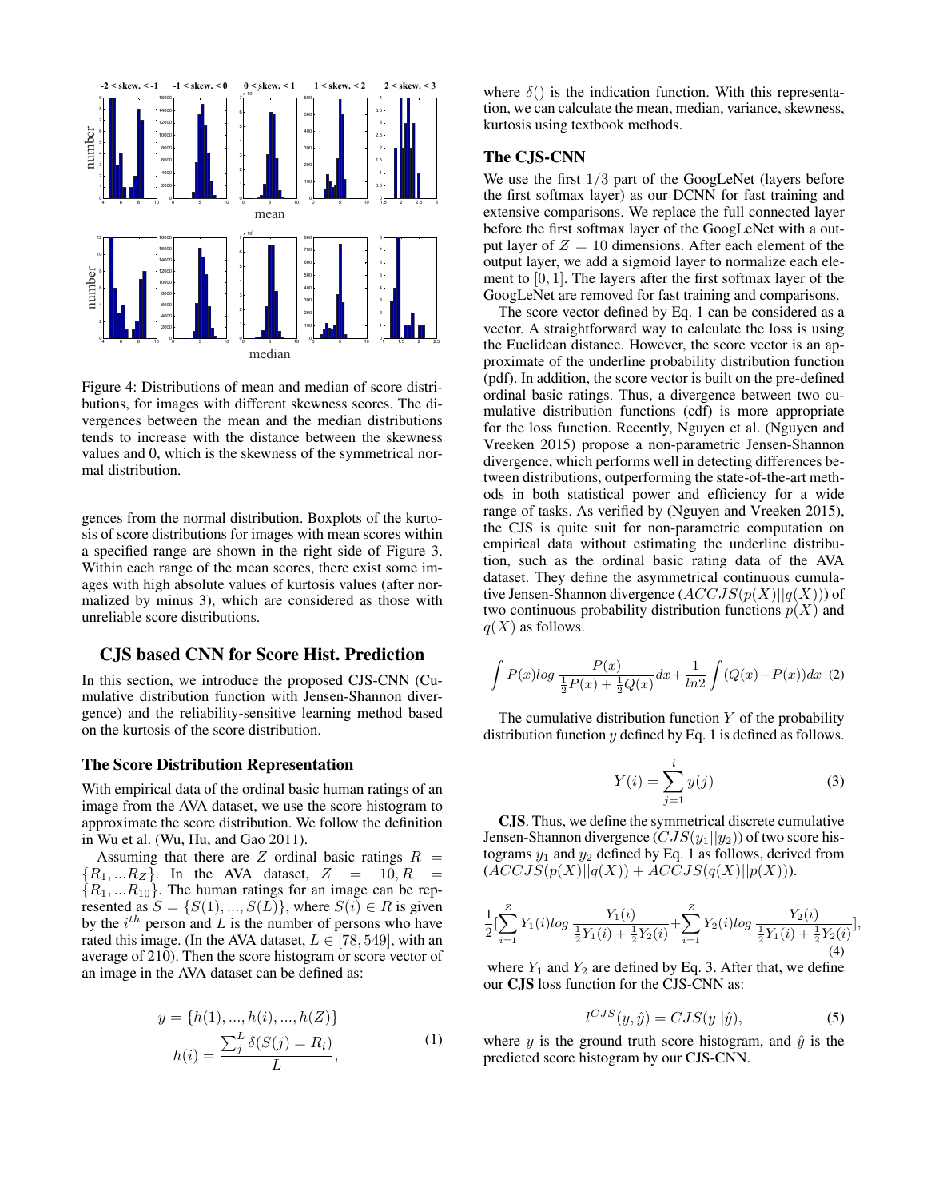

Figure 4: Distributions of mean and median of score distributions, for images with different skewness scores. The divergences between the mean and the median distributions tends to increase with the distance between the skewness values and 0, which is the skewness of the symmetrical normal distribution.

gences from the normal distribution. Boxplots of the kurtosis of score distributions for images with mean scores within a specified range are shown in the right side of Figure 3. Within each range of the mean scores, there exist some images with high absolute values of kurtosis values (after normalized by minus 3), which are considered as those with unreliable score distributions.

# CJS based CNN for Score Hist. Prediction

In this section, we introduce the proposed CJS-CNN (Cumulative distribution function with Jensen-Shannon divergence) and the reliability-sensitive learning method based on the kurtosis of the score distribution.

## The Score Distribution Representation

With empirical data of the ordinal basic human ratings of an image from the AVA dataset, we use the score histogram to approximate the score distribution. We follow the definition in Wu et al. (Wu, Hu, and Gao 2011).

Assuming that there are  $Z$  ordinal basic ratings  $R =$  ${R_1, \ldots R_Z}$ . In the AVA dataset,  $Z = 10, R =$  ${R_1, ... R_{10}}$ . The human ratings for an image can be represented as  $S = \{S(1), ..., S(L)\}\$ , where  $S(i) \in R$  is given by the  $i^{th}$  person and  $L$  is the number of persons who have rated this image. (In the AVA dataset,  $L \in [78, 549]$ , with an average of 210). Then the score histogram or score vector of an image in the AVA dataset can be defined as:

$$
y = \{h(1), ..., h(i), ..., h(Z)\}
$$

$$
h(i) = \frac{\sum_{j}^{L} \delta(S(j) = R_i)}{L},
$$
(1)

where  $\delta()$  is the indication function. With this representation, we can calculate the mean, median, variance, skewness, kurtosis using textbook methods.

# The CJS-CNN

We use the first  $1/3$  part of the GoogLeNet (layers before the first softmax layer) as our DCNN for fast training and extensive comparisons. We replace the full connected layer before the first softmax layer of the GoogLeNet with a output layer of  $Z = 10$  dimensions. After each element of the output layer, we add a sigmoid layer to normalize each element to  $[0, 1]$ . The layers after the first softmax layer of the GoogLeNet are removed for fast training and comparisons.

The score vector defined by Eq. 1 can be considered as a vector. A straightforward way to calculate the loss is using the Euclidean distance. However, the score vector is an approximate of the underline probability distribution function (pdf). In addition, the score vector is built on the pre-defined ordinal basic ratings. Thus, a divergence between two cumulative distribution functions (cdf) is more appropriate for the loss function. Recently, Nguyen et al. (Nguyen and Vreeken 2015) propose a non-parametric Jensen-Shannon divergence, which performs well in detecting differences between distributions, outperforming the state-of-the-art methods in both statistical power and efficiency for a wide range of tasks. As verified by (Nguyen and Vreeken 2015), the CJS is quite suit for non-parametric computation on empirical data without estimating the underline distribution, such as the ordinal basic rating data of the AVA dataset. They define the asymmetrical continuous cumulative Jensen-Shannon divergence  $(ACCJS(p(X)||q(X)))$  of two continuous probability distribution functions  $p(X)$  and  $q(X)$  as follows.

$$
\int P(x) \log \frac{P(x)}{\frac{1}{2}P(x) + \frac{1}{2}Q(x)} dx + \frac{1}{\ln 2} \int (Q(x) - P(x)) dx
$$
 (2)

The cumulative distribution function  $Y$  of the probability distribution function  $y$  defined by Eq. 1 is defined as follows.

$$
Y(i) = \sum_{j=1}^{i} y(j)
$$
 (3)

CJS. Thus, we define the symmetrical discrete cumulative Jensen-Shannon divergence  $(CJS(y_1||y_2))$  of two score histograms  $y_1$  and  $y_2$  defined by Eq. 1 as follows, derived from  $(ACCJS(p(X)||q(X)) + ACCJS(q(X)||p(X))).$ 

$$
\frac{1}{2} \left[ \sum_{i=1}^{Z} Y_1(i) \log \frac{Y_1(i)}{\frac{1}{2} Y_1(i) + \frac{1}{2} Y_2(i)} + \sum_{i=1}^{Z} Y_2(i) \log \frac{Y_2(i)}{\frac{1}{2} Y_1(i) + \frac{1}{2} Y_2(i)} \right],
$$
\n(4)

where  $Y_1$  and  $Y_2$  are defined by Eq. 3. After that, we define our CJS loss function for the CJS-CNN as:

$$
l^{CJS}(y,\hat{y}) = CJS(y||\hat{y}),\tag{5}
$$

where y is the ground truth score histogram, and  $\hat{y}$  is the predicted score histogram by our CJS-CNN.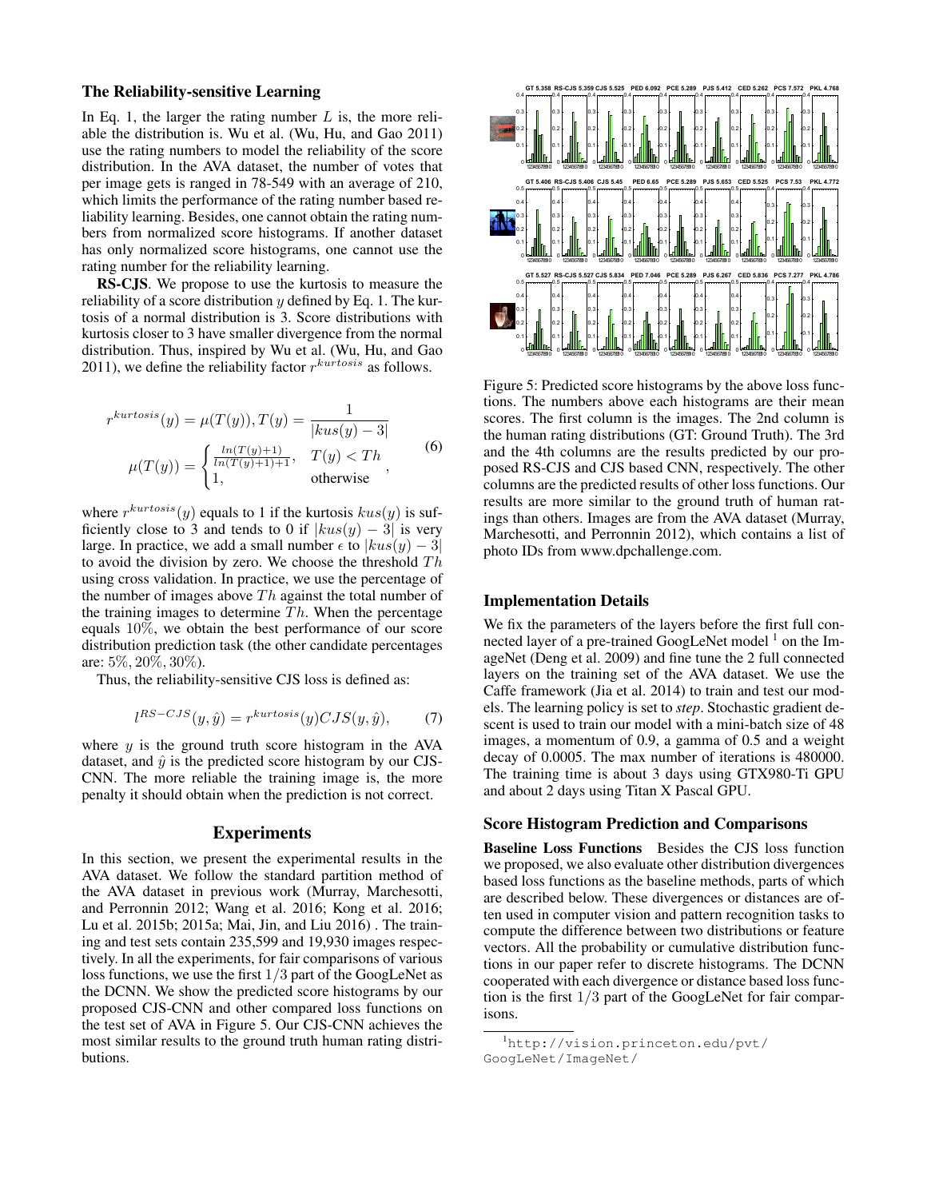# The Reliability-sensitive Learning

In Eq. 1, the larger the rating number  $L$  is, the more reliable the distribution is. Wu et al. (Wu, Hu, and Gao 2011) use the rating numbers to model the reliability of the score distribution. In the AVA dataset, the number of votes that per image gets is ranged in 78-549 with an average of 210, which limits the performance of the rating number based reliability learning. Besides, one cannot obtain the rating numbers from normalized score histograms. If another dataset has only normalized score histograms, one cannot use the rating number for the reliability learning.

RS-CJS. We propose to use the kurtosis to measure the reliability of a score distribution  $y$  defined by Eq. 1. The kurtosis of a normal distribution is 3. Score distributions with kurtosis closer to 3 have smaller divergence from the normal distribution. Thus, inspired by Wu et al. (Wu, Hu, and Gao 2011), we define the reliability factor  $r^{kurtosis}$  as follows.

$$
r^{kurtosis}(y) = \mu(T(y)), T(y) = \frac{1}{|kus(y) - 3|}
$$

$$
\mu(T(y)) = \begin{cases} \frac{\ln(T(y) + 1)}{\ln(T(y) + 1) + 1}, & T(y) < Th \\ 1, & \text{otherwise} \end{cases}
$$
(6)

where  $r^{kurtosis}(y)$  equals to 1 if the kurtosis  $kus(y)$  is sufficiently close to 3 and tends to 0 if  $|kus(y) - 3|$  is very large. In practice, we add a small number  $\epsilon$  to  $|kus(y) - 3|$ to avoid the division by zero. We choose the threshold  $Th$ using cross validation. In practice, we use the percentage of the number of images above  $Th$  against the total number of the training images to determine  $Th$ . When the percentage equals 10%, we obtain the best performance of our score distribution prediction task (the other candidate percentages are: 5%, 20%, 30%).

Thus, the reliability-sensitive CJS loss is defined as:

$$
l^{RS-CJS}(y,\hat{y}) = r^{kurtosis}(y) CJS(y,\hat{y}),\tag{7}
$$

where  $y$  is the ground truth score histogram in the AVA dataset, and  $\hat{y}$  is the predicted score histogram by our CJS-CNN. The more reliable the training image is, the more penalty it should obtain when the prediction is not correct.

#### Experiments

In this section, we present the experimental results in the AVA dataset. We follow the standard partition method of the AVA dataset in previous work (Murray, Marchesotti, and Perronnin 2012; Wang et al. 2016; Kong et al. 2016; Lu et al. 2015b; 2015a; Mai, Jin, and Liu 2016) . The training and test sets contain 235,599 and 19,930 images respectively. In all the experiments, for fair comparisons of various loss functions, we use the first 1/3 part of the GoogLeNet as the DCNN. We show the predicted score histograms by our proposed CJS-CNN and other compared loss functions on the test set of AVA in Figure 5. Our CJS-CNN achieves the most similar results to the ground truth human rating distributions.



Figure 5: Predicted score histograms by the above loss functions. The numbers above each histograms are their mean scores. The first column is the images. The 2nd column is the human rating distributions (GT: Ground Truth). The 3rd and the 4th columns are the results predicted by our proposed RS-CJS and CJS based CNN, respectively. The other columns are the predicted results of other loss functions. Our results are more similar to the ground truth of human ratings than others. Images are from the AVA dataset (Murray, Marchesotti, and Perronnin 2012), which contains a list of photo IDs from www.dpchallenge.com.

## Implementation Details

We fix the parameters of the layers before the first full connected layer of a pre-trained GoogLeNet model<sup>1</sup> on the ImageNet (Deng et al. 2009) and fine tune the 2 full connected layers on the training set of the AVA dataset. We use the Caffe framework (Jia et al. 2014) to train and test our models. The learning policy is set to *step*. Stochastic gradient descent is used to train our model with a mini-batch size of 48 images, a momentum of 0.9, a gamma of 0.5 and a weight decay of 0.0005. The max number of iterations is 480000. The training time is about 3 days using GTX980-Ti GPU and about 2 days using Titan X Pascal GPU.

## Score Histogram Prediction and Comparisons

Baseline Loss Functions Besides the CJS loss function we proposed, we also evaluate other distribution divergences based loss functions as the baseline methods, parts of which are described below. These divergences or distances are often used in computer vision and pattern recognition tasks to compute the difference between two distributions or feature vectors. All the probability or cumulative distribution functions in our paper refer to discrete histograms. The DCNN cooperated with each divergence or distance based loss function is the first 1/3 part of the GoogLeNet for fair comparisons.

<sup>1</sup>http://vision.princeton.edu/pvt/ GoogLeNet/ImageNet/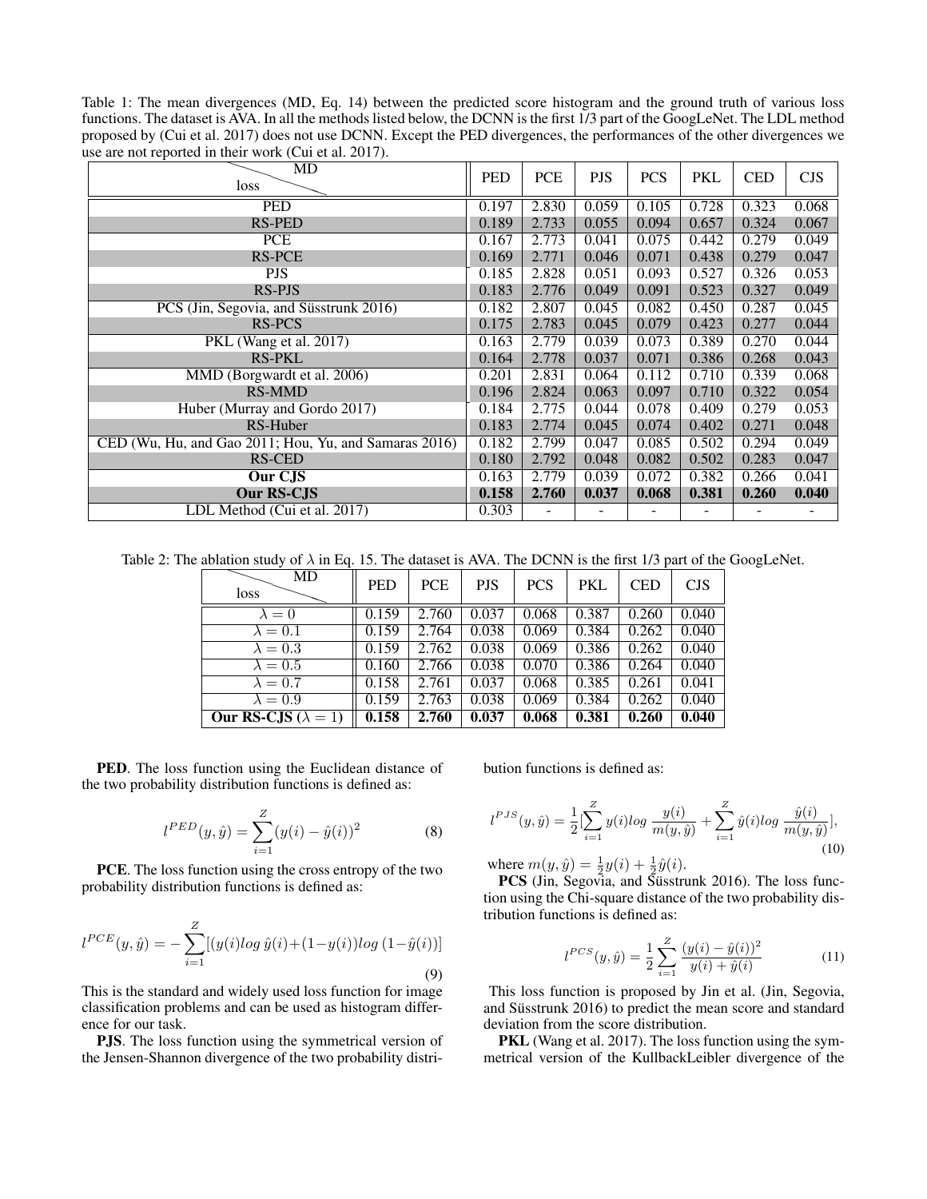Table 1: The mean divergences (MD, Eq. 14) between the predicted score histogram and the ground truth of various loss functions. The dataset is AVA. In all the methods listed below, the DCNN is the first 1/3 part of the GoogLeNet. The LDL method proposed by (Cui et al. 2017) does not use DCNN. Except the PED divergences, the performances of the other divergences we use are not reported in their work (Cui et al. 2017).

| л.<br>MD<br>loss                                      | <b>PED</b> | <b>PCE</b> | <b>PJS</b> | <b>PCS</b> | <b>PKL</b> | <b>CED</b> | <b>CJS</b> |
|-------------------------------------------------------|------------|------------|------------|------------|------------|------------|------------|
| <b>PED</b>                                            | 0.197      | 2.830      | 0.059      | 0.105      | 0.728      | 0.323      | 0.068      |
| <b>RS-PED</b>                                         | 0.189      | 2.733      | 0.055      | 0.094      | 0.657      | 0.324      | 0.067      |
| <b>PCE</b>                                            | 0.167      | 2.773      | 0.041      | 0.075      | 0.442      | 0.279      | 0.049      |
| <b>RS-PCE</b>                                         | 0.169      | 2.771      | 0.046      | 0.071      | 0.438      | 0.279      | 0.047      |
| <b>PJS</b>                                            | 0.185      | 2.828      | 0.051      | 0.093      | 0.527      | 0.326      | 0.053      |
| <b>RS-PJS</b>                                         | 0.183      | 2.776      | 0.049      | 0.091      | 0.523      | 0.327      | 0.049      |
| PCS (Jin, Segovia, and Süsstrunk 2016)                | 0.182      | 2.807      | 0.045      | 0.082      | 0.450      | 0.287      | 0.045      |
| RS-PCS                                                | 0.175      | 2.783      | 0.045      | 0.079      | 0.423      | 0.277      | 0.044      |
| PKL (Wang et al. 2017)                                | 0.163      | 2.779      | 0.039      | 0.073      | 0.389      | 0.270      | 0.044      |
| <b>RS-PKL</b>                                         | 0.164      | 2.778      | 0.037      | 0.071      | 0.386      | 0.268      | 0.043      |
| MMD (Borgwardt et al. 2006)                           | 0.201      | 2.831      | 0.064      | 0.112      | 0.710      | 0.339      | 0.068      |
| <b>RS-MMD</b>                                         | 0.196      | 2.824      | 0.063      | 0.097      | 0.710      | 0.322      | 0.054      |
| Huber (Murray and Gordo 2017)                         | 0.184      | 2.775      | 0.044      | 0.078      | 0.409      | 0.279      | 0.053      |
| RS-Huber                                              | 0.183      | 2.774      | 0.045      | 0.074      | 0.402      | 0.271      | 0.048      |
| CED (Wu, Hu, and Gao 2011; Hou, Yu, and Samaras 2016) | 0.182      | 2.799      | 0.047      | 0.085      | 0.502      | 0.294      | 0.049      |
| RS-CED                                                | 0.180      | 2.792      | 0.048      | 0.082      | 0.502      | 0.283      | 0.047      |
| Our CJS                                               | 0.163      | 2.779      | 0.039      | 0.072      | 0.382      | 0.266      | 0.041      |
| Our RS-CJS                                            | 0.158      | 2.760      | 0.037      | 0.068      | 0.381      | 0.260      | 0.040      |
| LDL Method (Cui et al. 2017)                          | 0.303      |            |            |            |            |            |            |

Table 2: The ablation study of  $\lambda$  in Eq. 15. The dataset is AVA. The DCNN is the first 1/3 part of the GoogLeNet.

| MD<br>loss                   | <b>PED</b> | <b>PCE</b> | <b>PJS</b> | <b>PCS</b> | <b>PKL</b> | <b>CED</b> | CJS   |
|------------------------------|------------|------------|------------|------------|------------|------------|-------|
| $\lambda = 0$                | 0.159      | 2.760      | 0.037      | 0.068      | 0.387      | 0.260      | 0.040 |
| $\lambda = 0.1$              | 0.159      | 2.764      | 0.038      | 0.069      | 0.384      | 0.262      | 0.040 |
| $\lambda = 0.3$              | 0.159      | 2.762      | 0.038      | 0.069      | 0.386      | 0.262      | 0.040 |
| $\lambda = 0.5$              | 0.160      | 2.766      | 0.038      | 0.070      | 0.386      | 0.264      | 0.040 |
| $\lambda = 0.7$              | 0.158      | 2.761      | 0.037      | 0.068      | 0.385      | 0.261      | 0.041 |
| $\lambda = 0.9$              | 0.159      | 2.763      | 0.038      | 0.069      | 0.384      | 0.262      | 0.040 |
| Our RS-CJS ( $\lambda = 1$ ) | 0.158      | 2.760      | 0.037      | 0.068      | 0.381      | 0.260      | 0.040 |

PED. The loss function using the Euclidean distance of the two probability distribution functions is defined as:

$$
l^{PED}(y,\hat{y}) = \sum_{i=1}^{Z} (y(i) - \hat{y}(i))^2
$$
 (8)

PCE. The loss function using the cross entropy of the two probability distribution functions is defined as:

$$
l^{PCE}(y, \hat{y}) = -\sum_{i=1}^{Z} [(y(i)log \hat{y}(i) + (1 - y(i))log (1 - \hat{y}(i))]
$$
\n(9)

This is the standard and widely used loss function for image classification problems and can be used as histogram difference for our task.

PJS. The loss function using the symmetrical version of the Jensen-Shannon divergence of the two probability distribution functions is defined as:

$$
l^{PJS}(y,\hat{y}) = \frac{1}{2} \left[ \sum_{i=1}^{Z} y(i) \log \frac{y(i)}{m(y,\hat{y})} + \sum_{i=1}^{Z} \hat{y}(i) \log \frac{\hat{y}(i)}{m(y,\hat{y})} \right],
$$
\n(10)

where  $m(y, \hat{y}) = \frac{1}{2}y(i) + \frac{1}{2}\hat{y}(i)$ .

PCS (Jin, Segovia, and Süsstrunk 2016). The loss function using the Chi-square distance of the two probability distribution functions is defined as:

$$
l^{PCS}(y, \hat{y}) = \frac{1}{2} \sum_{i=1}^{Z} \frac{(y(i) - \hat{y}(i))^2}{y(i) + \hat{y}(i)}
$$
(11)

This loss function is proposed by Jin et al. (Jin, Segovia, and Süsstrunk 2016) to predict the mean score and standard deviation from the score distribution.

PKL (Wang et al. 2017). The loss function using the symmetrical version of the KullbackLeibler divergence of the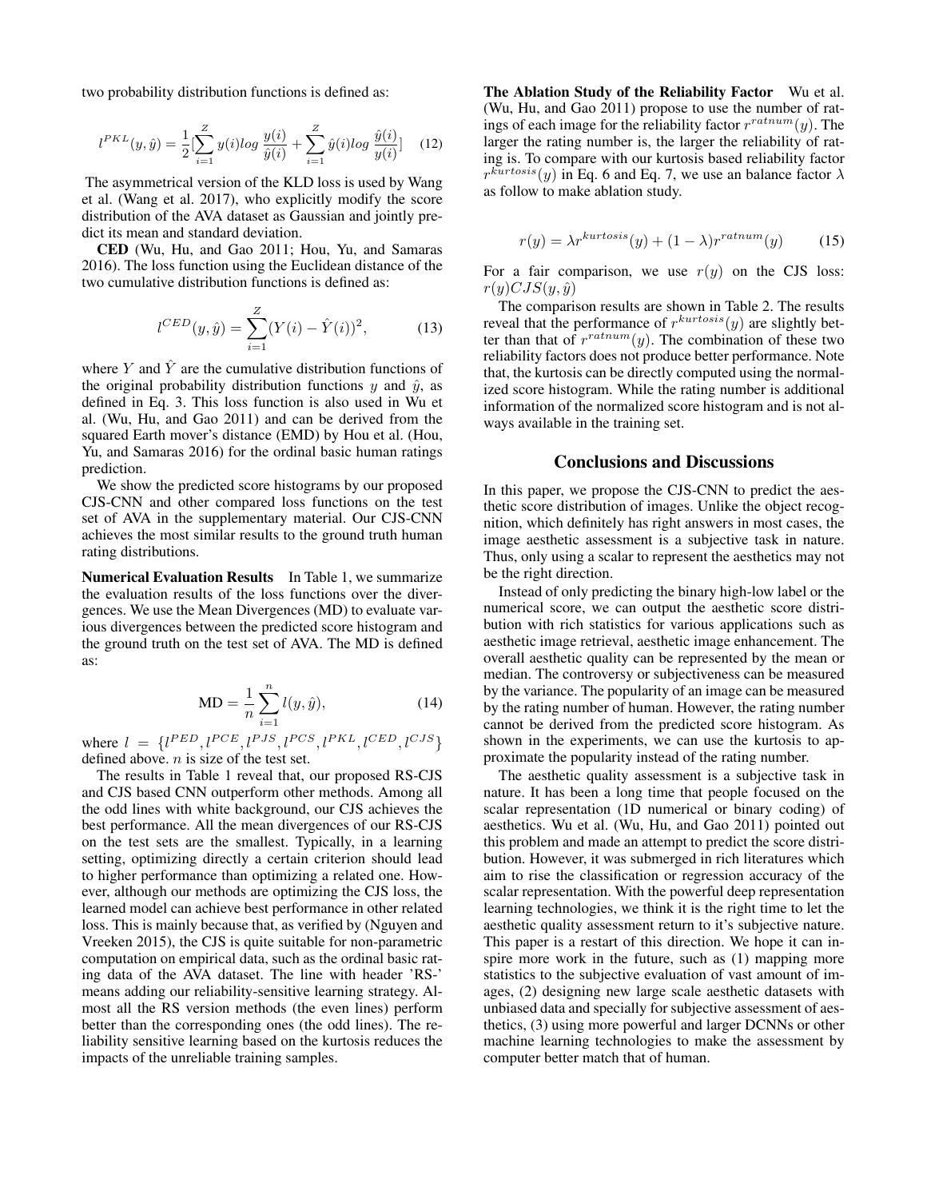two probability distribution functions is defined as:

$$
l^{PKL}(y,\hat{y}) = \frac{1}{2} \left[ \sum_{i=1}^{Z} y(i) \log \frac{y(i)}{\hat{y}(i)} + \sum_{i=1}^{Z} \hat{y}(i) \log \frac{\hat{y}(i)}{y(i)} \right] \tag{12}
$$

The asymmetrical version of the KLD loss is used by Wang et al. (Wang et al. 2017), who explicitly modify the score distribution of the AVA dataset as Gaussian and jointly predict its mean and standard deviation.

CED (Wu, Hu, and Gao 2011; Hou, Yu, and Samaras 2016). The loss function using the Euclidean distance of the two cumulative distribution functions is defined as:

$$
l^{CED}(y, \hat{y}) = \sum_{i=1}^{Z} (Y(i) - \hat{Y}(i))^2,
$$
 (13)

where Y and  $\hat{Y}$  are the cumulative distribution functions of the original probability distribution functions y and  $\hat{y}$ , as defined in Eq. 3. This loss function is also used in Wu et al. (Wu, Hu, and Gao 2011) and can be derived from the squared Earth mover's distance (EMD) by Hou et al. (Hou, Yu, and Samaras 2016) for the ordinal basic human ratings prediction.

We show the predicted score histograms by our proposed CJS-CNN and other compared loss functions on the test set of AVA in the supplementary material. Our CJS-CNN achieves the most similar results to the ground truth human rating distributions.

Numerical Evaluation Results In Table 1, we summarize the evaluation results of the loss functions over the divergences. We use the Mean Divergences (MD) to evaluate various divergences between the predicted score histogram and the ground truth on the test set of AVA. The MD is defined as:

$$
MD = \frac{1}{n} \sum_{i=1}^{n} l(y, \hat{y}),
$$
\n(14)

where  $l = \{l^{PED}, l^{PCE}, l^{PJS}, l^{PCS}, l^{PKL}, l^{CED}, l^{CJS}\}$ defined above.  $n$  is size of the test set.

The results in Table 1 reveal that, our proposed RS-CJS and CJS based CNN outperform other methods. Among all the odd lines with white background, our CJS achieves the best performance. All the mean divergences of our RS-CJS on the test sets are the smallest. Typically, in a learning setting, optimizing directly a certain criterion should lead to higher performance than optimizing a related one. However, although our methods are optimizing the CJS loss, the learned model can achieve best performance in other related loss. This is mainly because that, as verified by (Nguyen and Vreeken 2015), the CJS is quite suitable for non-parametric computation on empirical data, such as the ordinal basic rating data of the AVA dataset. The line with header 'RS-' means adding our reliability-sensitive learning strategy. Almost all the RS version methods (the even lines) perform better than the corresponding ones (the odd lines). The reliability sensitive learning based on the kurtosis reduces the impacts of the unreliable training samples.

The Ablation Study of the Reliability Factor Wu et al. (Wu, Hu, and Gao 2011) propose to use the number of ratings of each image for the reliability factor  $r^{ratnum}(y)$ . The larger the rating number is, the larger the reliability of rating is. To compare with our kurtosis based reliability factor  $r^{kurtosis}(y)$  in Eq. 6 and Eq. 7, we use an balance factor  $\lambda$ as follow to make ablation study.

$$
r(y) = \lambda r^{kurtosis}(y) + (1 - \lambda)r^{ratnum}(y) \tag{15}
$$

For a fair comparison, we use  $r(y)$  on the CJS loss:  $r(y)CJS(y, \hat{y})$ 

The comparison results are shown in Table 2. The results reveal that the performance of  $r^{kurtosis}(y)$  are slightly better than that of  $r^{ratnum}(y)$ . The combination of these two reliability factors does not produce better performance. Note that, the kurtosis can be directly computed using the normalized score histogram. While the rating number is additional information of the normalized score histogram and is not always available in the training set.

# Conclusions and Discussions

In this paper, we propose the CJS-CNN to predict the aesthetic score distribution of images. Unlike the object recognition, which definitely has right answers in most cases, the image aesthetic assessment is a subjective task in nature. Thus, only using a scalar to represent the aesthetics may not be the right direction.

Instead of only predicting the binary high-low label or the numerical score, we can output the aesthetic score distribution with rich statistics for various applications such as aesthetic image retrieval, aesthetic image enhancement. The overall aesthetic quality can be represented by the mean or median. The controversy or subjectiveness can be measured by the variance. The popularity of an image can be measured by the rating number of human. However, the rating number cannot be derived from the predicted score histogram. As shown in the experiments, we can use the kurtosis to approximate the popularity instead of the rating number.

The aesthetic quality assessment is a subjective task in nature. It has been a long time that people focused on the scalar representation (1D numerical or binary coding) of aesthetics. Wu et al. (Wu, Hu, and Gao 2011) pointed out this problem and made an attempt to predict the score distribution. However, it was submerged in rich literatures which aim to rise the classification or regression accuracy of the scalar representation. With the powerful deep representation learning technologies, we think it is the right time to let the aesthetic quality assessment return to it's subjective nature. This paper is a restart of this direction. We hope it can inspire more work in the future, such as (1) mapping more statistics to the subjective evaluation of vast amount of images, (2) designing new large scale aesthetic datasets with unbiased data and specially for subjective assessment of aesthetics, (3) using more powerful and larger DCNNs or other machine learning technologies to make the assessment by computer better match that of human.